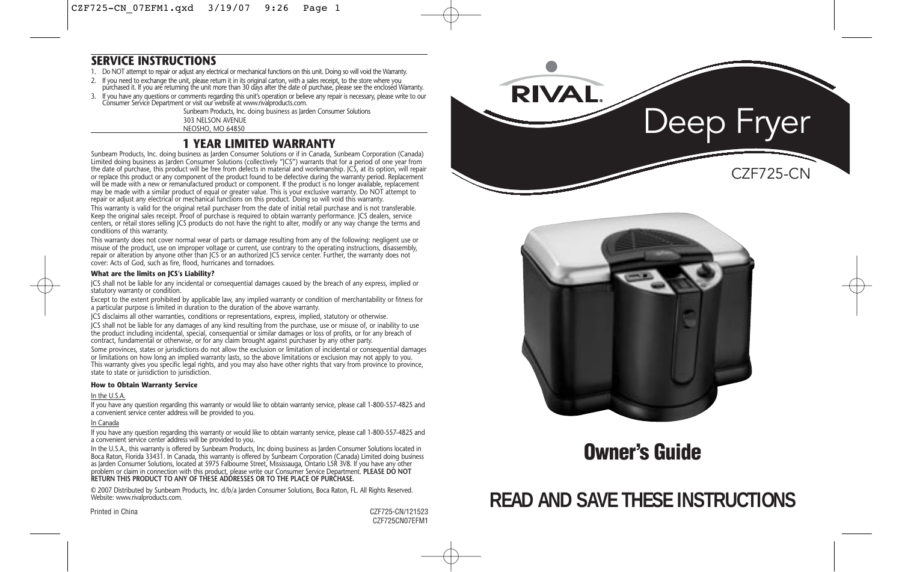### **SERVICE INSTRUCTIONS**

- 1. Do NOT attempt to repair or adjust any electrical or mechanical functions on this unit. Doing so will void the Warranty.
- 
- If you need to exchange the unit, please return it in its original carton, with a sales receipt, to the store where you<br>purchased it. If you are returning the unit more than 30 days after the date of purchase, please see t
- 3. If you have any questions or comments regarding this unit's operation or believe any repair is necessary, please write to our<br>Consumer Service Department or visit our website at www.rivalproducts.com.

Sunbeam Products, Inc. doing business as Jarden Consumer Solutions 303 NELSON AVENUE NEOSHO, MO 64850

## **1 YEAR LIMITED WARRANTY**

Sunbeam Products, Inc. doing business as Jarden Consumer Solutions or if in Canada, Sunbeam Corporation (Canada) Limited doing business as Jarden Consumer Solutions (collectively "JCS") warrants that for a period of one year from the date of purchase, this product will be free from defects in material and workmanship. JCS, at its option, will repair or replace this product or any component of the product found to be defective during the warranty period. Replacement will be made with a new or remanufactured product or component. If the product is no longer available, replacement may be made with a similar product of equal or greater value. This is your exclusive warranty. Do NOT attempt to repair or adjust any electrical or mechanical functions on this product. Doing so will void this warranty.

This warranty is valid for the original retail purchaser from the date of initial retail purchase and is not transferable. Keep the original sales receipt. Proof of purchase is required to obtain warranty performance. JCS dealers, service centers, or retail stores selling JCS products do not have the right to alter, modify or any way change the terms and conditions of this warranty.

This warranty does not cover normal wear of parts or damage resulting from any of the following: negligent use or misuse of the product, use on improper voltage or current, use contrary to the operating instructions, disassembly, repair or alteration by anyone other than JCS or an authorized JCS service center. Further, the warranty does not cover: Acts of God, such as fire, flood, hurricanes and tornadoes.

#### **What are the limits on JCS's Liability?**

JCS shall not be liable for any incidental or consequential damages caused by the breach of any express, implied or statutory warranty or condition.

Except to the extent prohibited by applicable law, any implied warranty or condition of merchantability or fitness for a particular purpose is limited in duration to the duration of the above warranty.

JCS disclaims all other warranties, conditions or representations, express, implied, statutory or otherwise. JCS shall not be liable for any damages of any kind resulting from the purchase, use or misuse of, or inability to use the product including incidental, special, consequential or similar damages or loss of profits, or for any breach of contract, fundamental or otherwise, or for any claim brought against purchaser by any other party.

Some provinces, states or jurisdictions do not allow the exclusion or limitation of incidental or consequential damages or limitations on how long an implied warranty lasts, so the above limitations or exclusion may not apply to you. This warranty gives you specific legal rights, and you may also have other rights that vary from province to province, state to state or jurisdiction to jurisdiction.

### **How to Obtain Warranty Service**

#### In the U.S.A.

If you have any question regarding this warranty or would like to obtain warranty service, please call 1-800-557-4825 and a convenient service center address will be provided to you.

#### In Canada

If you have any question regarding this warranty or would like to obtain warranty service, please call 1-800-557-4825 and a convenient service center address will be provided to you.

In the U.S.A., this warranty is offered by Sunbeam Products, Inc doing business as Jarden Consumer Solutions located in Boca Raton, Florida 33431. In Canada, this warranty is offered by Sunbeam Corporation (Canada) Limited doing business as Jarden Consumer Solutions, located at 5975 Falbourne Street, Mississauga, Ontario L5R 3V8. If you have any other problem or claim in connection with this product, please write our Consumer Service Department. **PLEASE DO NOT RETURN THIS PRODUCT TO ANY OF THESE ADDRESSES OR TO THE PLACE OF PURCHASE.** 

© 2007 Distributed by Sunbeam Products, Inc. d/b/a Jarden Consumer Solutions, Boca Raton, FL. All Rights Reserved. Website: www.rivalproducts.com.





## **Owner's Guide**

## **READ AND SAVE THESE INSTRUCTIONS**

Printed in China CZF725-CN/121523 CZF725CN07EFM1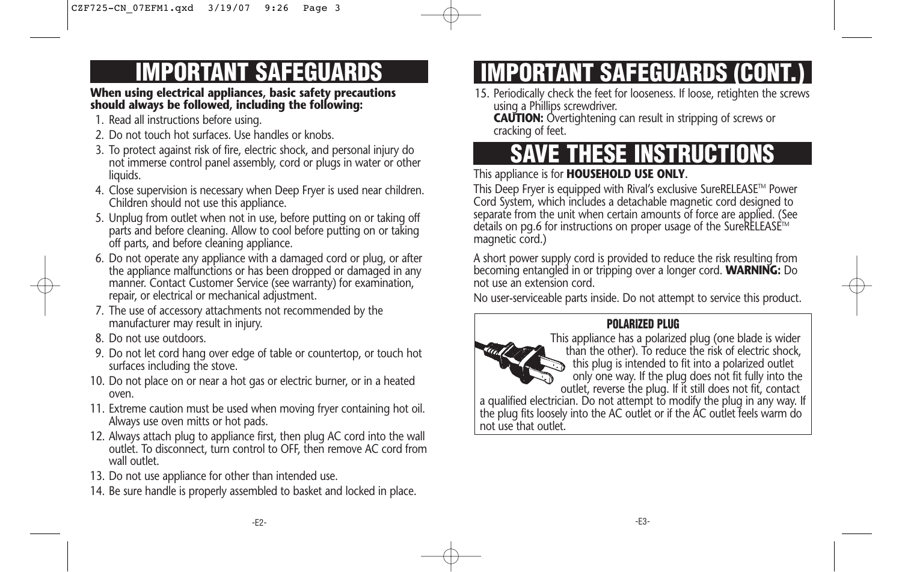## **IMPORTANT SAFEGUARDS**

### **When using electrical appliances, basic safety precautions should always be followed, including the following:**

- 1. Read all instructions before using.
- 2. Do not touch hot surfaces. Use handles or knobs.
- 3. To protect against risk of fire, electric shock, and personal injury do not immerse control panel assembly, cord or plugs in water or other liquids.
- 4. Close supervision is necessary when Deep Fryer is used near children. Children should not use this appliance.
- 5. Unplug from outlet when not in use, before putting on or taking off parts and before cleaning. Allow to cool before putting on or taking off parts, and before cleaning appliance.
- 6. Do not operate any appliance with a damaged cord or plug, or after the appliance malfunctions or has been dropped or damaged in any manner. Contact Customer Service (see warranty) for examination, repair, or electrical or mechanical adjustment.
- 7. The use of accessory attachments not recommended by the manufacturer may result in injury.
- 8. Do not use outdoors.
- 9. Do not let cord hang over edge of table or countertop, or touch hot surfaces including the stove.
- 10. Do not place on or near a hot gas or electric burner, or in a heated oven.
- 11. Extreme caution must be used when moving fryer containing hot oil. Always use oven mitts or hot pads.
- 12. Always attach plug to appliance first, then plug AC cord into the wall outlet. To disconnect, turn control to OFF, then remove AC cord from wall outlet.
- 13. Do not use appliance for other than intended use.
- 14. Be sure handle is properly assembled to basket and locked in place.

# **IMPORTANT SAFEGUARDS (CONT.)**

15. Periodically check the feet for looseness. If loose, retighten the screws using a Phillips screwdriver.

**CAUTION:** Overtightening can result in stripping of screws or cracking of feet.

# **SAVE THESE INSTRUCTIONS**

## This appliance is for **HOUSEHOLD USE ONLY.**

This Deep Fryer is equipped with Rival's exclusive SureRELEASE™ Power Cord System, which includes a detachable magnetic cord designed to separate from the unit when certain amounts of force are applied. (See details on pg.6 for instructions on proper usage of the SureRELEASE<sup>™</sup> magnetic cord.)

A short power supply cord is provided to reduce the risk resulting from becoming entangled in or tripping over a longer cord. **WARNING:** Do not use an extension cord.

No user-serviceable parts inside. Do not attempt to service this product.

## **POLARIZED PLUG**



This appliance has a polarized plug (one blade is wider than the other). To reduce the risk of electric shock, this plug is intended to fit into a polarized outlet only one way. If the plug does not fit fully into the outlet, reverse the plug. If it still does not fit, contact

a qualified electrician. Do not attempt to modify the plug in any way. If the plug fits loosely into the AC outlet or if the AC outlet feels warm do not use that outlet.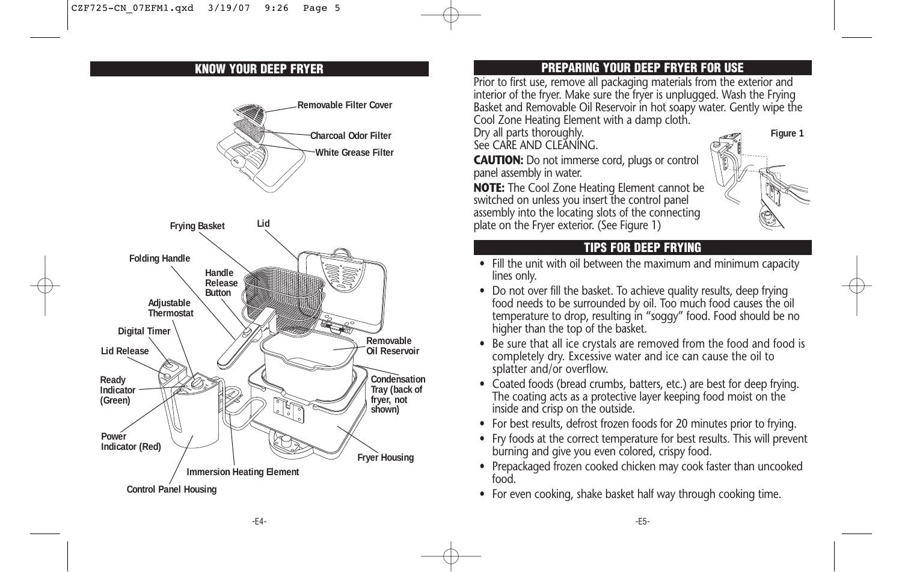

## **KNOW YOUR DEEP FRYER PREPARING YOUR DEEP FRYER FOR USE**

Prior to first use, remove all packaging materials from the exterior and interior of the fryer. Make sure the fryer is unplugged. Wash the Frying Basket and Removable Oil Reservoir in hot soapy water. Gently wipe the Cool Zone Heating Element with a damp cloth.

**Figure 1**

Dry all parts thoroughly.

See CARE AND CLEANING.

**CAUTION:** Do not immerse cord, plugs or control panel assembly in water.

**NOTE:** The Cool Zone Heating Element cannot be switched on unless you insert the control panel assembly into the locating slots of the connecting plate on the Fryer exterior. (See Figure 1)

## **TIPS FOR DEEP FRYING**

- Fill the unit with oil between the maximum and minimum capacity lines only.
- Do not over fill the basket. To achieve quality results, deep frying food needs to be surrounded by oil. Too much food causes the oil temperature to drop, resulting in "soggy" food. Food should be no higher than the top of the basket.
- Be sure that all ice crystals are removed from the food and food is completely dry. Excessive water and ice can cause the oil to splatter and/or overflow.
- Coated foods (bread crumbs, batters, etc.) are best for deep frying. The coating acts as a protective layer keeping food moist on the inside and crisp on the outside.
- For best results, defrost frozen foods for 20 minutes prior to frying.
- Fry foods at the correct temperature for best results. This will prevent burning and give you even colored, crispy food.
- Prepackaged frozen cooked chicken may cook faster than uncooked food.
- For even cooking, shake basket half way through cooking time.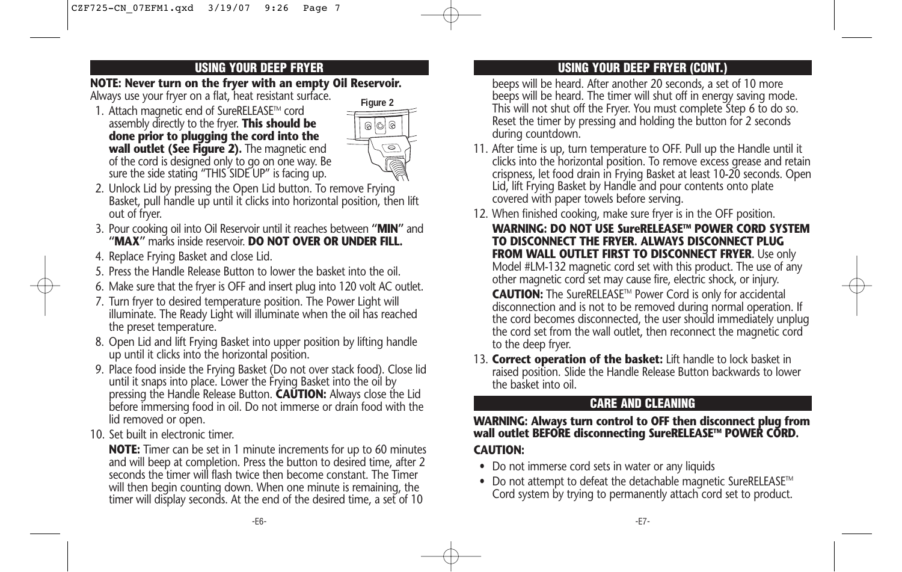### **NOTE: Never turn on the fryer with an empty Oil Reservoir.**

Always use your fryer on a flat, heat resistant surface.

1. Attach magnetic end of SureRELEASE™ cord assembly directly to the fryer. **This should be done prior to plugging the cord into the wall outlet (See Figure 2).** The magnetic end of the cord is designed only to go on one way. Be sure the side stating "THIS SIDE UP" is facing up.



- 2. Unlock Lid by pressing the Open Lid button. To remove Frying Basket, pull handle up until it clicks into horizontal position, then lift out of fryer.
- 3. Pour cooking oil into Oil Reservoir until it reaches between **"MIN"** and **"MAX"** marks inside reservoir. **DO NOT OVER OR UNDER FILL.**
- 4. Replace Frying Basket and close Lid.
- 5. Press the Handle Release Button to lower the basket into the oil.
- 6. Make sure that the fryer is OFF and insert plug into 120 volt AC outlet.
- 7. Turn fryer to desired temperature position. The Power Light will illuminate. The Ready Light will illuminate when the oil has reached the preset temperature.
- 8. Open Lid and lift Frying Basket into upper position by lifting handle up until it clicks into the horizontal position.
- 9. Place food inside the Frying Basket (Do not over stack food). Close lid until it snaps into place. Lower the Frying Basket into the oil by pressing the Handle Release Button. **CAUTION:** Always close the Lid before immersing food in oil. Do not immerse or drain food with the lid removed or open.
- 10. Set built in electronic timer.

**NOTE:** Timer can be set in 1 minute increments for up to 60 minutes and will beep at completion. Press the button to desired time, after 2 seconds the timer will flash twice then become constant. The Timer will then begin counting down. When one minute is remaining, the timer will display seconds. At the end of the desired time, a set of 10

## **USING YOUR DEEP FRYER USING YOUR DEEP FRYER (CONT.)**

beeps will be heard. After another 20 seconds, a set of 10 more beeps will be heard. The timer will shut off in energy saving mode. This will not shut off the Fryer. You must complete Step 6 to do so. Reset the timer by pressing and holding the button for 2 seconds during countdown.

- 11. After time is up, turn temperature to OFF. Pull up the Handle until it clicks into the horizontal position. To remove excess grease and retain crispness, let food drain in Frying Basket at least 10-20 seconds. Open Lid, lift Frying Basket by Handle and pour contents onto plate covered with paper towels before serving.
- 12. When finished cooking, make sure fryer is in the OFF position.
	- **WARNING: DO NOT USE SureRELEASETM POWER CORD SYSTEM TO DISCONNECT THE FRYER. ALWAYS DISCONNECT PLUG FROM WALL OUTLET FIRST TO DISCONNECT FRYER.** Use only Model #LM-132 magnetic cord set with this product. The use of any other magnetic cord set may cause fire, electric shock, or injury.

CAUTION: The SureRELEASE™ Power Cord is only for accidental disconnection and is not to be removed during normal operation. If the cord becomes disconnected, the user should immediately unplug the cord set from the wall outlet, then reconnect the magnetic cord to the deep fryer.

13. **Correct operation of the basket:** Lift handle to lock basket in raised position. Slide the Handle Release Button backwards to lower the basket into oil.

## **CARE AND CLEANING**

## **WARNING: Always turn control to OFF then disconnect plug from wall outlet BEFORE disconnecting SureRELEASETM POWER CORD. CAUTION:**

- Do not immerse cord sets in water or any liquids
- Do not attempt to defeat the detachable magnetic SureRELEASE<sup>TM</sup> Cord system by trying to permanently attach cord set to product.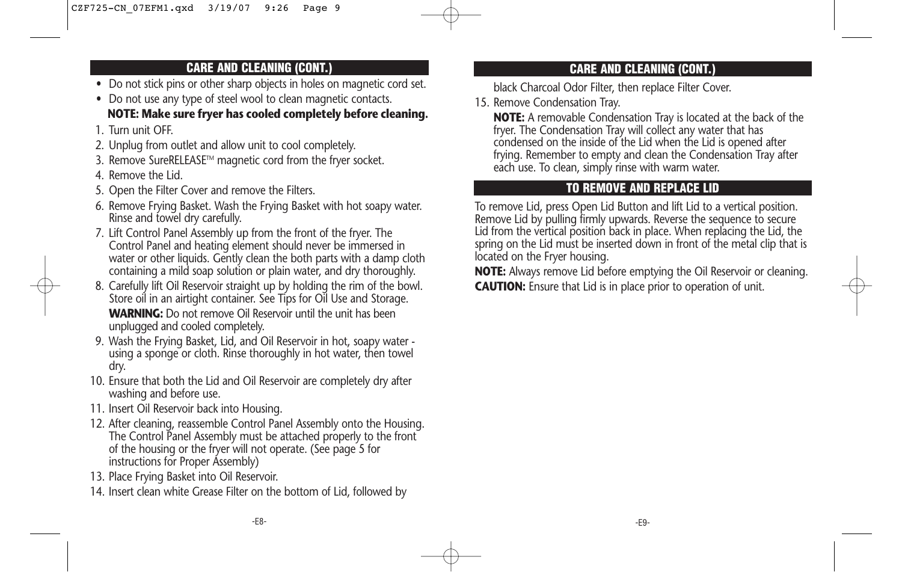## **CARE AND CLEANING (CONT.)**

- Do not stick pins or other sharp objects in holes on magnetic cord set.
- Do not use any type of steel wool to clean magnetic contacts. **NOTE: Make sure fryer has cooled completely before cleaning.**
- 1. Turn unit OFF.
- 2. Unplug from outlet and allow unit to cool completely.
- 3. Remove SureRELEASE™ magnetic cord from the fryer socket.
- 4. Remove the Lid.
- 5. Open the Filter Cover and remove the Filters.
- 6. Remove Frying Basket. Wash the Frying Basket with hot soapy water. Rinse and towel dry carefully.
- 7. Lift Control Panel Assembly up from the front of the fryer. The Control Panel and heating element should never be immersed in water or other liquids. Gently clean the both parts with a damp cloth containing a mild soap solution or plain water, and dry thoroughly.
- 8. Carefully lift Oil Reservoir straight up by holding the rim of the bowl. Store oil in an airtight container. See Tips for Oil Use and Storage. **WARNING:** Do not remove Oil Reservoir until the unit has been unplugged and cooled completely.
- 9. Wash the Frying Basket, Lid, and Oil Reservoir in hot, soapy water using a sponge or cloth. Rinse thoroughly in hot water, then towel dry.
- 10. Ensure that both the Lid and Oil Reservoir are completely dry after washing and before use.
- 11. Insert Oil Reservoir back into Housing.
- 12. After cleaning, reassemble Control Panel Assembly onto the Housing. The Control Panel Assembly must be attached properly to the front of the housing or the fryer will not operate. (See page 5 for instructions for Proper Assembly)
- 13. Place Frying Basket into Oil Reservoir.
- 14. Insert clean white Grease Filter on the bottom of Lid, followed by

## **CARE AND CLEANING (CONT.)**

black Charcoal Odor Filter, then replace Filter Cover.

15. Remove Condensation Tray.

**NOTE:** A removable Condensation Tray is located at the back of the fryer. The Condensation Tray will collect any water that has condensed on the inside of the Lid when the Lid is opened after frying. Remember to empty and clean the Condensation Tray after each use. To clean, simply rinse with warm water.

## **TO REMOVE AND REPLACE LID**

To remove Lid, press Open Lid Button and lift Lid to a vertical position. Remove Lid by pulling firmly upwards. Reverse the sequence to secure Lid from the vertical position back in place. When replacing the Lid, the spring on the Lid must be inserted down in front of the metal clip that is located on the Fryer housing.

**NOTE:** Always remove Lid before emptying the Oil Reservoir or cleaning. **CAUTION:** Ensure that Lid is in place prior to operation of unit.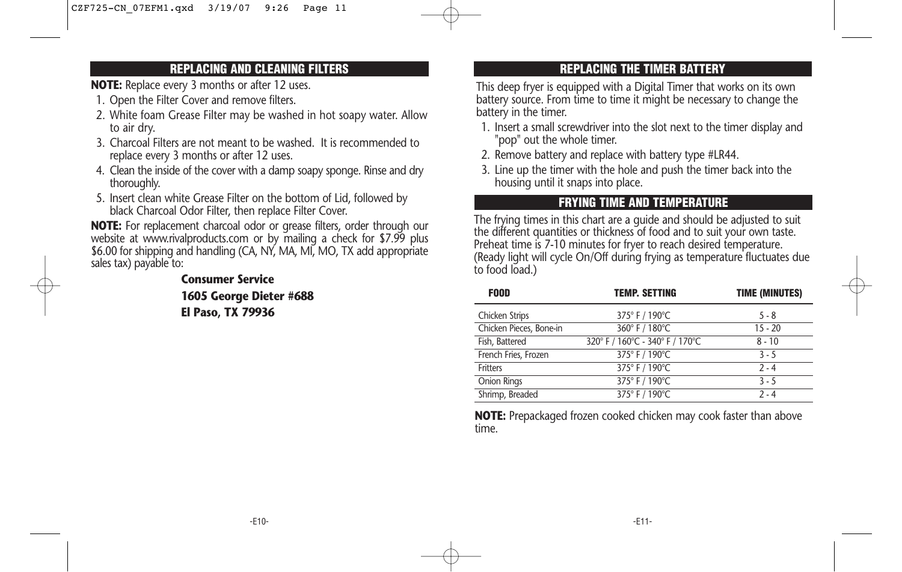### **REPLACING AND CLEANING FILTERS**

**NOTE:** Replace every 3 months or after 12 uses.

- 1. Open the Filter Cover and remove filters.
- 2. White foam Grease Filter may be washed in hot soapy water. Allow to air dry.
- 3. Charcoal Filters are not meant to be washed. It is recommended to replace every 3 months or after 12 uses.
- 4. Clean the inside of the cover with a damp soapy sponge. Rinse and dry thoroughly.
- 5. Insert clean white Grease Filter on the bottom of Lid, followed by black Charcoal Odor Filter, then replace Filter Cover.

**NOTE:** For replacement charcoal odor or grease filters, order through our website at www.rivalproducts.com or by mailing a check for \$7.99 plus \$6.00 for shipping and handling (CA, NY, MA, MI, MO, TX add appropriate sales tax) payable to:

> **Consumer Service 1605 George Dieter #688 El Paso, TX 79936**

## **REPLACING THE TIMER BATTERY**

This deep fryer is equipped with a Digital Timer that works on its own battery source. From time to time it might be necessary to change the battery in the timer.

- 1. Insert a small screwdriver into the slot next to the timer display and "pop" out the whole timer.
- 2. Remove battery and replace with battery type #LR44.
- 3. Line up the timer with the hole and push the timer back into the housing until it snaps into place.

## **FRYING TIME AND TEMPERATURE**

The frying times in this chart are a guide and should be adjusted to suit the different quantities or thickness of food and to suit your own taste. Preheat time is 7-10 minutes for fryer to reach desired temperature. (Ready light will cycle On/Off during frying as temperature fluctuates due to food load.)

| <b>FOOD</b>             | <b>TEMP. SETTING</b>            | <b>TIME (MINUTES)</b> |
|-------------------------|---------------------------------|-----------------------|
| Chicken Strips          | 375° F / 190°C                  | $5 - 8$               |
| Chicken Pieces, Bone-in | 360°F / 180°C                   | $15 - 20$             |
| Fish, Battered          | 320° F / 160°C - 340° F / 170°C | $8 - 10$              |
| French Fries, Frozen    | 375° F / 190°C                  | $3 - 5$               |
| Fritters                | 375° F / 190°C                  | $2 - 4$               |
| Onion Rings             | 375° F / 190°C                  | $3 - 5$               |
| Shrimp, Breaded         | 375° F / 190°C                  | $2 - 4$               |

**NOTE:** Prepackaged frozen cooked chicken may cook faster than above time.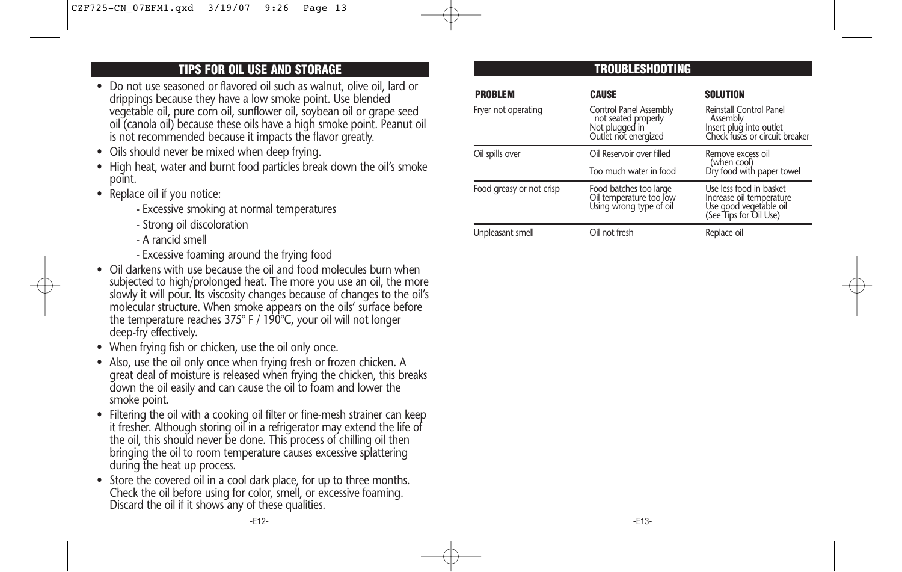## **TIPS FOR OIL USE AND STORAGE**

- Do not use seasoned or flavored oil such as walnut, olive oil, lard or drippings because they have a low smoke point. Use blended vegetable oil, pure corn oil, sunflower oil, soybean oil or grape seed oil (canola oil) because these oils have a high smoke point. Peanut oil is not recommended because it impacts the flavor greatly.
- Oils should never be mixed when deep frying.
- High heat, water and burnt food particles break down the oil's smoke point.
- Replace oil if you notice:
	- Excessive smoking at normal temperatures
	- Strong oil discoloration
	- A rancid smell
	- Excessive foaming around the frying food
- Oil darkens with use because the oil and food molecules burn when subjected to high/prolonged heat. The more you use an oil, the more slowly it will pour. Its viscosity changes because of changes to the oil's molecular structure. When smoke appears on the oils' surface before the temperature reaches 375° F / 190°C, your oil will not longer deep-fry effectively.
- When frying fish or chicken, use the oil only once.
- Also, use the oil only once when frying fresh or frozen chicken. A great deal of moisture is released when frying the chicken, this breaks down the oil easily and can cause the oil to foam and lower the smoke point.
- Filtering the oil with a cooking oil filter or fine-mesh strainer can keep it fresher. Although storing oil in a refrigerator may extend the life of the oil, this should never be done. This process of chilling oil then bringing the oil to room temperature causes excessive splattering during the heat up process.
- Store the covered oil in a cool dark place, for up to three months. Check the oil before using for color, smell, or excessive foaming. Discard the oil if it shows any of these qualities.

## **TROUBLESHOOTING**

| <b>PROBLEM</b>           | <b>CAUSE</b>                                                                            | <b>SOLUTION</b>                                                                                         |
|--------------------------|-----------------------------------------------------------------------------------------|---------------------------------------------------------------------------------------------------------|
| Fryer not operating      | Control Panel Assembly<br>not seated properly<br>Not plugged in<br>Outlet not energized | Reinstall Control Panel<br>Assembly<br>Insert plug into outlet<br>Check fuses or circuit breaker        |
| Oil spills over          | Oil Reservoir over filled<br>Too much water in food                                     | Remove excess oil<br>(when cool)<br>Dry food with paper towel                                           |
| Food greasy or not crisp | Food batches too large<br>Oil temperature too low<br>Using wrong type of oil            | Use less food in basket<br>Increase oil temperature<br>Use good vegetable oil<br>(See Tips for Oil Use) |
| Unpleasant smell         | Oil not fresh                                                                           | Replace oil                                                                                             |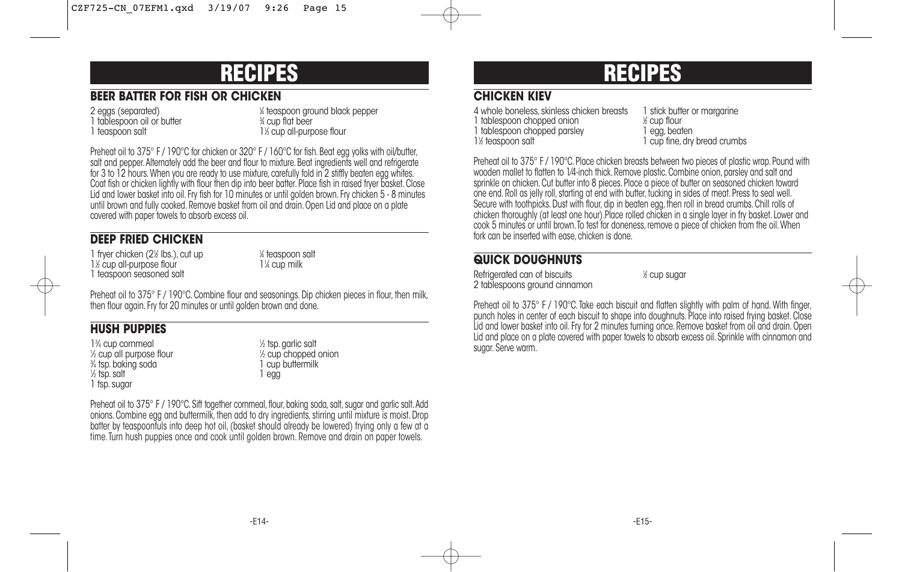## **RECIPES**

## **BEER BATTER FOR FISH OR CHICKEN**

2 eggs (separated) 1 tablespoon oil or butter 1 teaspoon salt

⁄4 teaspoon ground black pepper ⁄4 cup flat beer 1<sup>/3</sup> cup all-purpose flour

Preheat oil to 375° F / 190°C for chicken or 320° F / 160°C for fish. Beat egg yolks with oil/butter, salt and pepper. Alternately add the beer and flour to mixture. Beat ingredients well and refrigerate for 3 to 12 hours.When you are ready to use mixture, carefully fold in 2 stiffly beaten egg whites. Coat fish or chicken lightly with flour then dip into beer batter. Place fish in raised fryer basket. Close Lid and lower basket into oil. Fry fish for 10 minutes or until golden brown. Fry chicken 5 - 8 minutes until brown and fully cooked. Remove basket from oil and drain. Open Lid and place on a plate covered with paper towels to absorb excess oil.

## **DEEP FRIED CHICKEN**

1 fryer chicken (2<sup>1</sup>/<sub>2</sub> lbs.), cut up 1 1<sup>1</sup>/<sub>2</sub> cup all-purpose flour 11<sup>1</sup> 1 teaspoon seasoned salt

⁄4 teaspoon salt ⁄4 cup milk

Preheat oil to 375° F / 190°C. Combine flour and seasonings. Dip chicken pieces in flour, then milk, then flour again. Fry for 20 minutes or until golden brown and done.

## **HUSH PUPPIES**

13 ⁄4 cup cornmeal <sup>1</sup>  $\frac{1}{2}$  cup all purpose flour  $\frac{1}{2}$ 3 ⁄4 tsp.baking soda 1 cup buttermilk 1 ⁄2 tsp.salt 1 egg 1 tsp.sugar

 $\frac{1}{2}$  tsp. garlic salt <sup>1/2</sup> cup chopped onion<br>1 cup buttermilk

Preheat oil to 375° F / 190°C. Sift together cornmeal, flour, baking soda, salt, sugar and garlic salt. Add onions. Combine egg and buttermilk, then add to dry ingredients, stirring until mixture is moist. Drop batter by teaspoonfuls into deep hot oil, (basket should already be lowered) frying only a few at a time.Turn hush puppies once and cook until golden brown. Remove and drain on paper towels.

## **RECIPES**

## **CHICKEN KIEV**

4 whole boneless, skinless chicken breasts 1 stick butter or margarine 1 tablespoon chopped onion the second of the second of the second is a local beat to 1 equilibration 1 equilibration 1 equilibration 1 equilibration 1 equilibration 1 equilibration 1 equilibration 1 equilibration 1 equilib 1 tablespoon chopped parsley 1<sup>1</sup>/<sub>2</sub> teaspoon salt

⁄2 cup flour 1 cup fine, dry bread crumbs

Preheat oil to 375° F / 190°C. Place chicken breasts between two pieces of plastic wrap. Pound with wooden mallet to flatten to 1⁄4-inch thick. Remove plastic. Combine onion, parsley and salt and sprinkle on chicken. Cut butter into 8 pieces. Place a piece of butter on seasoned chicken toward one end. Roll as jelly roll, starting at end with butter, tucking in sides of meat. Press to seal well. Secure with toothpicks. Dust with flour, dip in beaten egg, then roll in bread crumbs. Chill rolls of chicken thoroughly (at least one hour).Place rolled chicken in a single layer in fry basket. Lower and cook 5 minutes or until brown. To test for doneness, remove a piece of chicken from the oil. When fork can be inserted with ease, chicken is done.

## **QUICK DOUGHNUTS**

Refrigerated can of biscuits 2 tablespoons ground cinnamon ⁄2 cup sugar

Preheat oil to 375° F / 190°C. Take each biscuit and flatten slightly with palm of hand. With finger, punch holes in center of each biscuit to shape into doughnuts. Place into raised frying basket. Close Lid and lower basket into oil. Fry for 2 minutes turning once. Remove basket from oil and drain. Open Lid and place on a plate covered with paper towels to absorb excess oil. Sprinkle with cinnamon and sugar. Serve warm.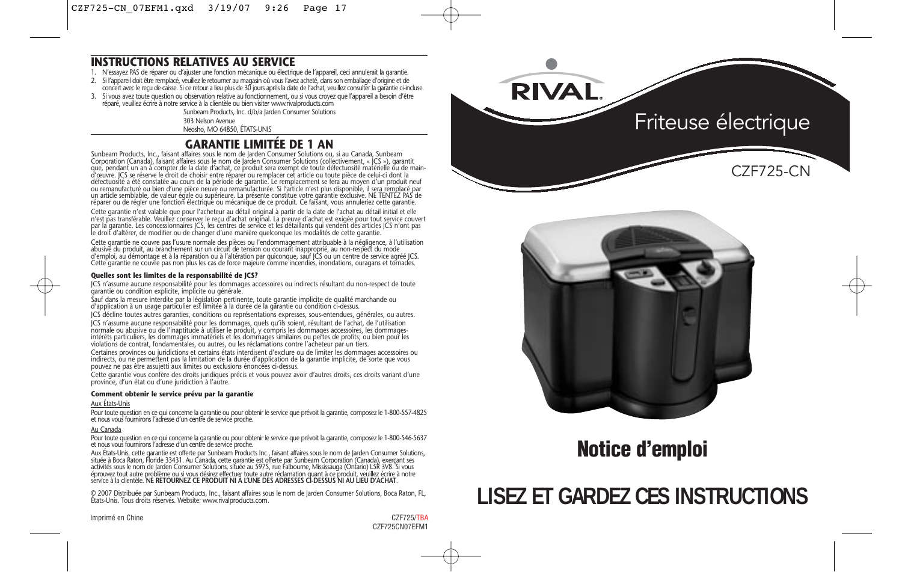### **INSTRUCTIONS RELATIVES AU SERVICE**

- 1. N'essayez PAS de réparer ou d'ajuster une fonction mécanique ou électrique de l'appareil, ceci annulerait la garantie.
- 2. Si l'appareil doit être remplacé, veuillez le retourner au magasin où vous l'avez acheté, dans son emballage d'origine et de<br>concert avec le reçu de caisse. Si ce retour a lieu plus de 30 jours après la date de l'achat,
- 3. Si vous avez toute question ou observation relative au fonctionnement, ou si vous croyez que l'appareil a besoin d'être réparé, veuillez écrire à notre service à la clientèle ou bien visiter www.rivalproducts.com

Sunbeam Products, Inc. d/b/a Jarden Consumer Solutions

303 Nelson Avenue

Neosho, MO 64850, ÉTATS-UNIS

## **GARANTIE LIMITÉE DE 1 AN**

Sunbeam Products, Inc., faisant affaires sous le nom de Jarden Consumer Solutions ou, si au Canada, Sunbeam Corporation (Canada), faisant affaires sous le nom de Jarden Consumer Solutions (collectivement, « JCS »), garantit que, pendant un an à compter de la date d'achat, ce produit sera exempt de toute défectuosité matérielle ou de main-<br>d'œuvre. JCS se réserve le droit de choisir entre réparer ou remplacer cet article ou toute pièce de celu ou remanufacturé ou bien d'une pièce neuve ou remanufacturée. Si l'article n'est plus disponible, il sera remplacé par<br>un article semblable, de valeur égale ou supérieure. La présente constitue votre garantie exclusive. NE

Cette garantie n'est valable que pour l'acheteur au détail original à partir de la date de l'achat au détail initial et elle n'est pas transférable. Veuillez conserver le reçu d'achat original. La preuve d'achat est exigée pour tout service couvert<br>par la garantie. Les concessionnaires JCS, les centres de service et les détaillants qui vendent d le droit d'altérer, de modifier ou de changer d'une manière quelconque les modalités de cette garantie.

Cette garantie ne couvre pas l'usure normale des pièces ou l'endommagement attribuable à la négligence, à l'utilisation abusive du produit, au branchement sur un circuit de tension ou courant inapproprié, au non-respect du mode<br>d'emploi, au démontage et à la réparation ou à l'altération par quiconque, sauf JCS ou un centre de service agréé Cette garantie ne couvre pas non plus les cas de force majeure comme incendies, inondations, ouragans et tornades.

#### **Quelles sont les limites de la responsabilité de JCS?**

JCS n'assume aucune responsabilité pour les dommages accessoires ou indirects résultant du non-respect de toute garantie ou condition explicite, implicite ou générale.

Sauf dans la mesure interdite par la législation pertinente, toute garantie implicite de qualité marchande ou d'application à un usage particulier est limitée à la durée de la garantie ou condition ci-dessus.

JCS décline toutes autres garanties, conditions ou représentations expresses, sous-entendues, générales, ou autres. JCS n'assume aucune responsabilité pour les dommages, quels qu'ils soient, résultant de l'achat, de l'utilisation normale ou abusive ou de l'inaptitude à utiliser le produit, y compris les dommages accessoires, les dommagesintérêts particuliers, les dommages immatériels et les dommages similaires ou pertes de profits; ou bien pour les violations de contrat, fondamentales, ou autres, ou les réclamations contre l'acheteur par un tiers.

Certaines provinces ou juridictions et certains états interdisent d'exclure ou de limiter les dommages accessoires ou<br>indirects, ou ne permettent pas la limitation de la durée d'application de la garantie implicite, de sor pouvez ne pas être assujetti aux limites ou exclusions énoncées ci-dessus.

Cette garantie vous confère des droits juridiques précis et vous pouvez avoir d'autres droits, ces droits variant d'une province, d'un état ou d'une juridiction à l'autre.

### **Comment obtenir le service prévu par la garantie**

#### Aux États-Unis

Pour toute question en ce qui concerne la garantie ou pour obtenir le service que prévoit la garantie, composez le 1-800-557-4825 et nous vous fournirons l'adresse d'un centre de service proche.

### Au Canada

Pour toute question en ce qui concerne la garantie ou pour obtenir le service que prévoit la garantie, composez le 1-800-546-5637<br>et nous vous fournirons l'adresse d'un centre de service proche.

Aux Etats-Unis, cette garantie est ofterte par Sunbeam Products Inc., faisant affaires sous le nom de Jarden Consumer Solutions,<br>située à Boca Raton, Floride 33431. Au Canada, cette garantie est offerte par Sunbeam Corpora éprouvez tout autre problème ou si vous désirez effectuer toute autre réclamation quant à ce produit, veuillez écrire à notre<br>service à la clientèle. **NE RETOURNEZ CE PRODUIT NI À L'UNE DES ADRESSES CI-DESSUS NI AU LIEU D'** 

© 2007 Distribuée par Sunbeam Products, Inc., faisant affaires sous le nom de Jarden Consumer Solutions, Boca Raton, FL, États-Unis. Tous droits réservés. Website: www.rivalproducts.com.

**RIVAL** Friteuse électrique CZF725-CN



## **Notice d'emploi**

## **LISEZ ET GARDEZ CES INSTRUCTIONS**

Imprimé en Chine CZF725/TBA

CZF725CN07EFM1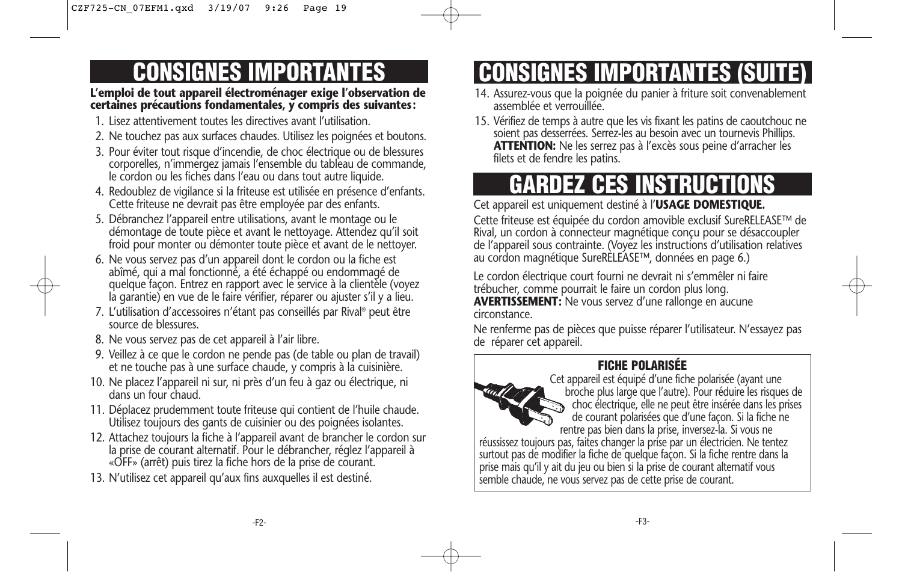## **CONSIGNES IMPORTANTES**

### **L'emploi de tout appareil électroménager exige l'observation de certaines précautions fondamentales, y compris des suivantes:**

- 1. Lisez attentivement toutes les directives avant l'utilisation.
- 2. Ne touchez pas aux surfaces chaudes. Utilisez les poignées et boutons.
- 3. Pour éviter tout risque d'incendie, de choc électrique ou de blessures corporelles, n'immergez jamais l'ensemble du tableau de commande, le cordon ou les fiches dans l'eau ou dans tout autre liquide.
- 4. Redoublez de vigilance si la friteuse est utilisée en présence d'enfants. Cette friteuse ne devrait pas être employée par des enfants.
- 5. Débranchez l'appareil entre utilisations, avant le montage ou le démontage de toute pièce et avant le nettoyage. Attendez qu'il soit froid pour monter ou démonter toute pièce et avant de le nettoyer.
- 6. Ne vous servez pas d'un appareil dont le cordon ou la fiche est abîmé, qui a mal fonctionné, a été échappé ou endommagé de quelque façon. Entrez en rapport avec le service à la clientèle (voyez la garantie) en vue de le faire vérifier, réparer ou ajuster s'il y a lieu.
- 7. L'utilisation d'accessoires n'étant pas conseillés par Rival® peut être source de blessures.
- 8. Ne vous servez pas de cet appareil à l'air libre.
- 9. Veillez à ce que le cordon ne pende pas (de table ou plan de travail) et ne touche pas à une surface chaude, y compris à la cuisinière.
- 10. Ne placez l'appareil ni sur, ni près d'un feu à gaz ou électrique, ni dans un four chaud.
- 11. Déplacez prudemment toute friteuse qui contient de l'huile chaude. Utilisez toujours des gants de cuisinier ou des poignées isolantes.
- 12. Attachez toujours la fiche à l'appareil avant de brancher le cordon sur la prise de courant alternatif. Pour le débrancher, réglez l'appareil à «OFF» (arrêt) puis tirez la fiche hors de la prise de courant.
- 13. N'utilisez cet appareil qu'aux fins auxquelles il est destiné.

# **CONSIGNES IMPORTANTES (SUITE)**

- 14. Assurez-vous que la poignée du panier à friture soit convenablement assemblée et verrouillée.
- 15. Vérifiez de temps à autre que les vis fixant les patins de caoutchouc ne soient pas desserrées. Serrez-les au besoin avec un tournevis Phillips. **ATTENTION:** Ne les serrez pas à l'excès sous peine d'arracher les filets et de fendre les patins.

# **GARDEZ CES INSTRUCTIONS**

Cet appareil est uniquement destiné à l'**USAGE DOMESTIQUE.**

Cette friteuse est équipée du cordon amovible exclusif SureRELEASE™ de Rival, un cordon à connecteur magnétique conçu pour se désaccoupler de l'appareil sous contrainte. (Voyez les instructions d'utilisation relatives au cordon magnétique SureRELEASE™, données en page 6.)

Le cordon électrique court fourni ne devrait ni s'emmêler ni faire trébucher, comme pourrait le faire un cordon plus long. **AVERTISSEMENT:** Ne vous servez d'une rallonge en aucune circonstance.

Ne renferme pas de pièces que puisse réparer l'utilisateur. N'essayez pas de réparer cet appareil.

## **FICHE POLARISÉE**



Cet appareil est équipé d'une fiche polarisée (ayant une broche plus large que l'autre). Pour réduire les risques de choc électrique, elle ne peut être insérée dans les prises de courant polarisées que d'une façon. Si la fiche ne

rentre pas bien dans la prise, inversez-la. Si vous ne réussissez toujours pas, faites changer la prise par un électricien. Ne tentez surtout pas de modifier la fiche de quelque façon. Si la fiche rentre dans la prise mais qu'il y ait du jeu ou bien si la prise de courant alternatif vous semble chaude, ne vous servez pas de cette prise de courant.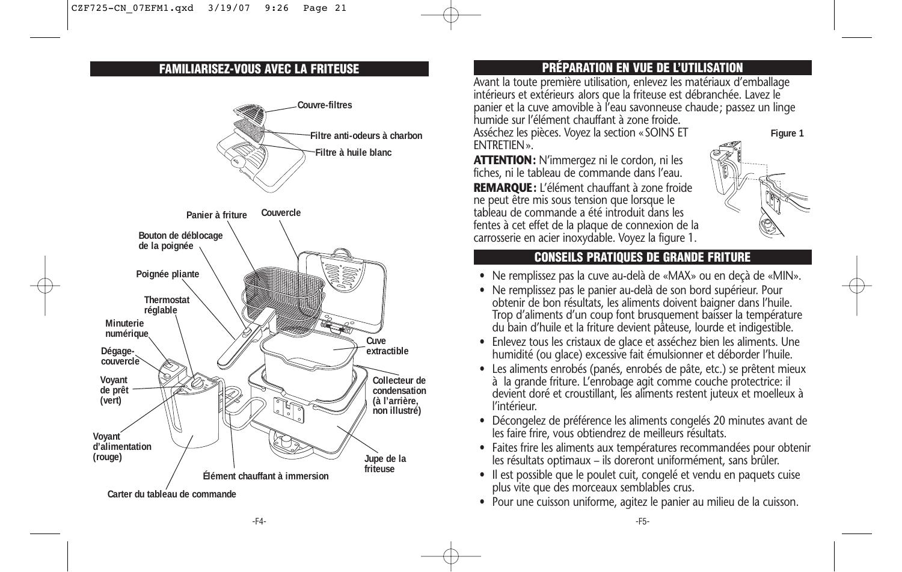

## **FAMILIARISEZ-VOUS AVEC LA FRITEUSE PRÉPARATION EN VUE DE L'UTILISATION**

Avant la toute première utilisation, enlevez les matériaux d'emballage intérieurs et extérieurs alors que la friteuse est débranchée. Lavez le panier et la cuve amovible à l'eau savonneuse chaude; passez un linge humide sur l'élément chauffant à zone froide.

Asséchez les pièces. Voyez la section «SOINS ET ENTRETIEN».

**ATTENTION:** N'immergez ni le cordon, ni les fiches, ni le tableau de commande dans l'eau. **REMARQUE:** L'élément chauffant à zone froide ne peut être mis sous tension que lorsque le tableau de commande a été introduit dans les fentes à cet effet de la plaque de connexion de la carrosserie en acier inoxydable. Voyez la figure 1.



## **CONSEILS PRATIQUES DE GRANDE FRITURE**

- Ne remplissez pas la cuve au-delà de «MAX» ou en deçà de «MIN».
- Ne remplissez pas le panier au-delà de son bord supérieur. Pour obtenir de bon résultats, les aliments doivent baigner dans l'huile. Trop d'aliments d'un coup font brusquement baisser la température du bain d'huile et la friture devient pâteuse, lourde et indigestible.
- Enlevez tous les cristaux de glace et asséchez bien les aliments. Une humidité (ou glace) excessive fait émulsionner et déborder l'huile.
- Les aliments enrobés (panés, enrobés de pâte, etc.) se prêtent mieux à la grande friture. L'enrobage agit comme couche protectrice: il devient doré et croustillant, les aliments restent juteux et moelleux à l'intérieur.
- Décongelez de préférence les aliments congelés 20 minutes avant de les faire frire, vous obtiendrez de meilleurs résultats.
- Faites frire les aliments aux températures recommandées pour obtenir les résultats optimaux – ils doreront uniformément, sans brûler.
- Il est possible que le poulet cuit, congelé et vendu en paquets cuise plus vite que des morceaux semblables crus.
- Pour une cuisson uniforme, agitez le panier au milieu de la cuisson.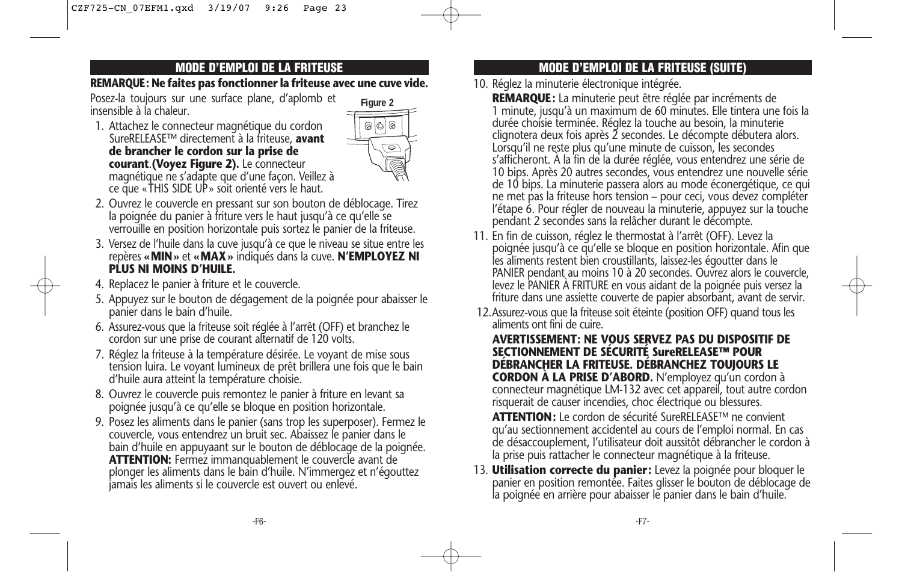### **REMARQUE: Ne faites pas fonctionner la friteuse avec une cuve vide.**

Posez-la toujours sur une surface plane, d'aplomb et insensible à la chaleur.

1. Attachez le connecteur magnétique du cordon SureRELEASE™ directement à la friteuse, **avant de brancher le cordon sur la prise de courant**.**(Voyez Figure 2).** Le connecteur magnétique ne s'adapte que d'une façon. Veillez à ce que «THIS SIDE UP» soit orienté vers le haut.



- 2. Ouvrez le couvercle en pressant sur son bouton de déblocage. Tirez la poignée du panier à friture vers le haut jusqu'à ce qu'elle se verrouille en position horizontale puis sortez le panier de la friteuse.
- 3. Versez de l'huile dans la cuve jusqu'à ce que le niveau se situe entre les repères **«MIN»** et **«MAX»** indiqués dans la cuve. **N'EMPLOYEZ NI PLUS NI MOINS D'HUILE.**
- 4. Replacez le panier à friture et le couvercle.
- 5. Appuyez sur le bouton de dégagement de la poignée pour abaisser le panier dans le bain d'huile.
- 6. Assurez-vous que la friteuse soit réglée à l'arrêt (OFF) et branchez le cordon sur une prise de courant alternatif de 120 volts.
- 7. Réglez la friteuse à la température désirée. Le voyant de mise sous tension luira. Le voyant lumineux de prêt brillera une fois que le bain d'huile aura atteint la température choisie.
- 8. Ouvrez le couvercle puis remontez le panier à friture en levant sa poignée jusqu'à ce qu'elle se bloque en position horizontale.
- 9. Posez les aliments dans le panier (sans trop les superposer). Fermez le couvercle, vous entendrez un bruit sec. Abaissez le panier dans le bain d'huile en appuyaant sur le bouton de déblocage de la poignée. **ATTENTION:** Fermez immanquablement le couvercle avant de plonger les aliments dans le bain d'huile. N'immergez et n'égouttez jamais les aliments si le couvercle est ouvert ou enlevé.

## **MODE D'EMPLOI DE LA FRITEUSE MODE D'EMPLOI DE LA FRITEUSE (SUITE)**

- 10. Réglez la minuterie électronique intégrée.
	- **REMARQUE:** La minuterie peut être réglée par incréments de<br>1 minute, jusqu'à un maximum de 60 minutes. Elle tintera une fois la durée choisie terminée. Réglez la touche au besoin, la minuterie clignotera deux fois après 2 secondes. Le décompte débutera alors. Lorsqu'il ne reste plus qu'une minute de cuisson, les secondes s'afficheront. À la fin de la durée réglée, vous entendrez une série de 10 bips. Après 20 autres secondes, vous entendrez une nouvelle série de 10 bips. La minuterie passera alors au mode éconergétique, ce qui ne met pas la friteuse hors tension – pour ceci, vous devez compléter l'étape 6. Pour régler de nouveau la minuterie, appuyez sur la touche pendant 2 secondes sans la relâcher durant le décompte.
- 11. En fin de cuisson, réglez le thermostat à l'arrêt (OFF). Levez la poignée jusqu'à ce qu'elle se bloque en position horizontale. Afin que les aliments restent bien croustillants, laissez-les égoutter dans le PANIER pendant au moins 10 à 20 secondes. Ouvrez alors le couvercle, levez le PANIER À FRITURE en vous aidant de la poignée puis versez la friture dans une assiette couverte de papier absorbant, avant de servir.
- 12.Assurez-vous que la friteuse soit éteinte (position OFF) quand tous les aliments ont fini de cuire.

### **AVERTISSEMENT: NE VOUS SERVEZ PAS DU DISPOSITIF DE SECTIONNEMENT DE SÉCURITÉ SureRELEASE™ POUR DÉBRANCHER LA FRITEUSE. DÉBRANCHEZ TOUJOURS LE CORDON À LA PRISE D'ABORD.** N'employez qu'un cordon à

connecteur magnétique LM-132 avec cet appareil, tout autre cordon risquerait de causer incendies, choc électrique ou blessures.

**ATTENTION:** Le cordon de sécurité SureRELEASE™ ne convient qu'au sectionnement accidentel au cours de l'emploi normal. En cas de désaccouplement, l'utilisateur doit aussitôt débrancher le cordon à la prise puis rattacher le connecteur magnétique à la friteuse.

13. **Utilisation correcte du panier:** Levez la poignée pour bloquer le panier en position remontée. Faites glisser le bouton de déblocage de la poignée en arrière pour abaisser le panier dans le bain d'huile.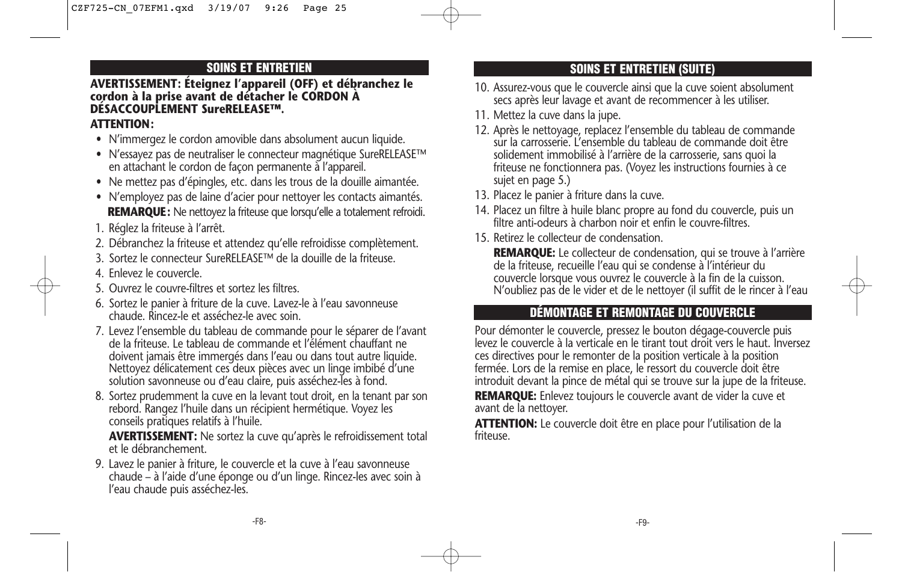## **SOINS ET ENTRETIEN**

## **AVERTISSEMENT: Éteignez l'appareil (OFF) et débranchez le cordon à la prise avant de détacher le CORDON À DÉSACCOUPLEMENT SureRELEASE™.**

## **ATTENTION:**

- N'immergez le cordon amovible dans absolument aucun liquide.
- N'essayez pas de neutraliser le connecteur magnétique SureRELEASE™ en attachant le cordon de façon permanente à l'appareil.
- Ne mettez pas d'épingles, etc. dans les trous de la douille aimantée.
- N'employez pas de laine d'acier pour nettoyer les contacts aimantés. **REMARQUE:** Ne nettoyez la friteuse que lorsqu'elle a totalement refroidi.
- 1. Réglez la friteuse à l'arrêt.
- 2. Débranchez la friteuse et attendez qu'elle refroidisse complètement.
- 3. Sortez le connecteur SureRELEASE™ de la douille de la friteuse.
- 4. Enlevez le couvercle.
- 5. Ouvrez le couvre-filtres et sortez les filtres.
- 6. Sortez le panier à friture de la cuve. Lavez-le à l'eau savonneuse chaude. Rincez-le et asséchez-le avec soin.
- 7. Levez l'ensemble du tableau de commande pour le séparer de l'avant de la friteuse. Le tableau de commande et l'élément chauffant ne doivent jamais être immergés dans l'eau ou dans tout autre liquide. Nettoyez délicatement ces deux pièces avec un linge imbibé d'une solution savonneuse ou d'eau claire, puis asséchez-les à fond.
- 8. Sortez prudemment la cuve en la levant tout droit, en la tenant par son rebord. Rangez l'huile dans un récipient hermétique. Voyez les conseils pratiques relatifs à l'huile.

**AVERTISSEMENT:** Ne sortez la cuve qu'après le refroidissement total et le débranchement.

9. Lavez le panier à friture, le couvercle et la cuve à l'eau savonneuse chaude – à l'aide d'une éponge ou d'un linge. Rincez-les avec soin à l'eau chaude puis asséchez-les.

## **SOINS ET ENTRETIEN (SUITE)**

- 10. Assurez-vous que le couvercle ainsi que la cuve soient absolument secs après leur lavage et avant de recommencer à les utiliser.
- 11. Mettez la cuve dans la jupe.
- 12. Après le nettoyage, replacez l'ensemble du tableau de commande sur la carrosserie. L'ensemble du tableau de commande doit être solidement immobilisé à l'arrière de la carrosserie, sans quoi la friteuse ne fonctionnera pas. (Voyez les instructions fournies à ce sujet en page 5.)
- 13. Placez le panier à friture dans la cuve.
- 14. Placez un filtre à huile blanc propre au fond du couvercle, puis un filtre anti-odeurs à charbon noir et enfin le couvre-filtres.
- 15. Retirez le collecteur de condensation.

**REMARQUE:** Le collecteur de condensation, qui se trouve à l'arrière de la friteuse, recueille l'eau qui se condense à l'intérieur du couvercle lorsque vous ouvrez le couvercle à la fin de la cuisson. N'oubliez pas de le vider et de le nettoyer (il suffit de le rincer à l'eau

## **DÉMONTAGE ET REMONTAGE DU COUVERCLE**

Pour démonter le couvercle, pressez le bouton dégage-couvercle puis levez le couvercle à la verticale en le tirant tout droit vers le haut. Inversez ces directives pour le remonter de la position verticale à la position fermée. Lors de la remise en place, le ressort du couvercle doit être introduit devant la pince de métal qui se trouve sur la jupe de la friteuse.

**REMARQUE:** Enlevez toujours le couvercle avant de vider la cuve et avant de la nettoyer.

**ATTENTION:** Le couvercle doit être en place pour l'utilisation de la friteuse.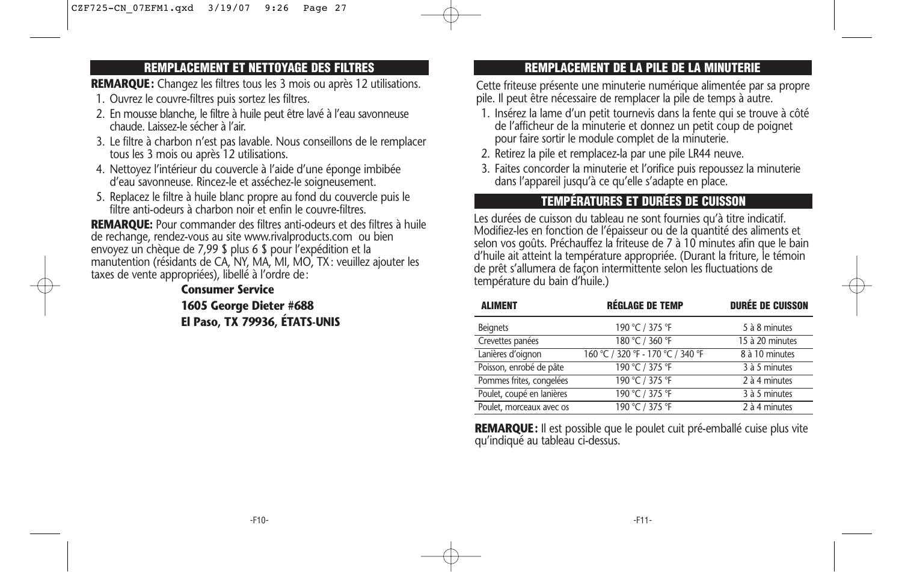## **REMPLACEMENT ET NETTOYAGE DES FILTRES**

**REMARQUE:** Changez les filtres tous les 3 mois ou après 12 utilisations.

- 1. Ouvrez le couvre-filtres puis sortez les filtres.
- 2. En mousse blanche, le filtre à huile peut être lavé à l'eau savonneuse chaude. Laissez-le sécher à l'air.
- 3. Le filtre à charbon n'est pas lavable. Nous conseillons de le remplacer tous les 3 mois ou après 12 utilisations.
- 4. Nettoyez l'intérieur du couvercle à l'aide d'une éponge imbibée d'eau savonneuse. Rincez-le et asséchez-le soigneusement.
- 5. Replacez le filtre à huile blanc propre au fond du couvercle puis le filtre anti-odeurs à charbon noir et enfin le couvre-filtres.

**REMARQUE:** Pour commander des filtres anti-odeurs et des filtres à huile de rechange, rendez-vous au site www.rivalproducts.com ou bien envoyez un chèque de 7,99 \$ plus 6 \$ pour l'expédition et la manutention (résidants de CA, NY, MA, MI, MO, TX: veuillez ajouter les taxes de vente appropriées), libellé à l'ordre de:

> **Consumer Service 1605 George Dieter #688 El Paso, TX 79936, ÉTATS-UNIS**

## **REMPLACEMENT DE LA PILE DE LA MINUTERIE**

Cette friteuse présente une minuterie numérique alimentée par sa propre pile. Il peut être nécessaire de remplacer la pile de temps à autre.

- 1. Insérez la lame d'un petit tournevis dans la fente qui se trouve à côté de l'afficheur de la minuterie et donnez un petit coup de poignet pour faire sortir le module complet de la minuterie.
- 2. Retirez la pile et remplacez-la par une pile LR44 neuve.
- 3. Faites concorder la minuterie et l'orifice puis repoussez la minuterie dans l'appareil jusqu'à ce qu'elle s'adapte en place.

## **TEMPÉRATURES ET DURÉES DE CUISSON**

Les durées de cuisson du tableau ne sont fournies qu'à titre indicatif. Modifiez-les en fonction de l'épaisseur ou de la quantité des aliments et selon vos goûts. Préchauffez la friteuse de 7 à 10 minutes afin que le bain d'huile ait atteint la température appropriée. (Durant la friture, le témoin de prêt s'allumera de façon intermittente selon les fluctuations de température du bain d'huile.)

| <b>ALIMENT</b>            | <b>RÉGLAGE DE TEMP</b>            | <b>DURÉE DE CUISSON</b> |
|---------------------------|-----------------------------------|-------------------------|
| <b>Beignets</b>           | 190 °C / 375 °F                   | 5 à 8 minutes           |
| Crevettes panées          | 180 °C / 360 °F                   | 15 à 20 minutes         |
| Lanières d'oignon         | 160 °C / 320 °F - 170 °C / 340 °F | 8 à 10 minutes          |
| Poisson, enrobé de pâte   | 190 °C / 375 °F                   | 3 à 5 minutes           |
| Pommes frites, congelées  | 190 °C / 375 °F                   | 2 à 4 minutes           |
| Poulet, coupé en lanières | 190 °C / 375 °F                   | 3 à 5 minutes           |
| Poulet, morceaux avec os  | 190 °C / 375 °F                   | 2 à 4 minutes           |

**REMARQUE:** Il est possible que le poulet cuit pré-emballé cuise plus vite qu'indiqué au tableau ci-dessus.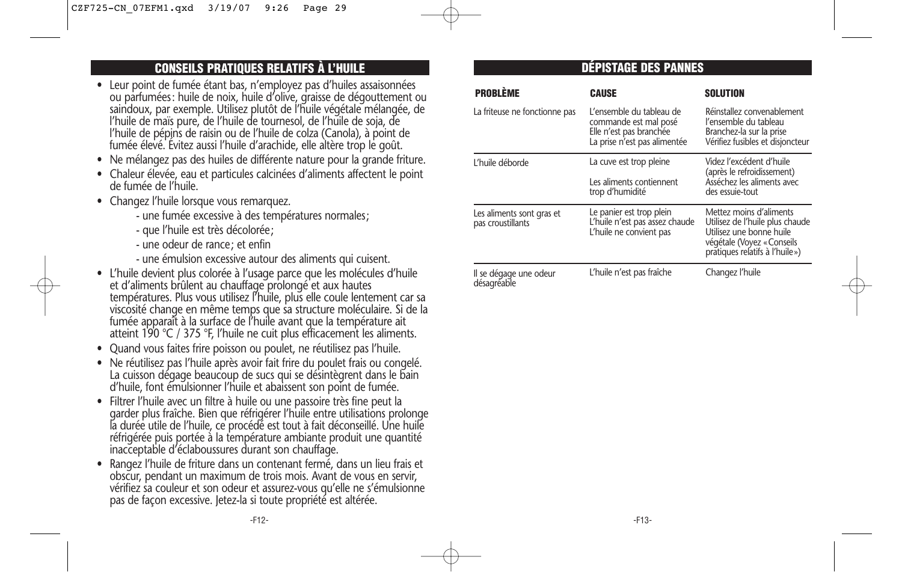## **CONSEILS PRATIQUES RELATIFS À L'HUILE**

- Leur point de fumée étant bas, n'employez pas d'huiles assaisonnées ou parfumées: huile de noix, huile d'olive, graisse de dégouttement ou saindoux, par exemple. Utilisez plutôt de l'huile végétale mélangée, de l'huile de maïs pure, de l'huile de tournesol, de l'huile de soja, de l'huile de pépins de raisin ou de l'huile de colza (Canola), à point de fumée élevé. Évitez aussi l'huile d'arachide, elle altère trop le goût.
- Ne mélangez pas des huiles de différente nature pour la grande friture.
- Chaleur élevée, eau et particules calcinées d'aliments affectent le point de fumée de l'huile.
- Changez l'huile lorsque vous remarquez.
	- une fumée excessive à des températures normales;
	- que l'huile est très décolorée;
	- une odeur de rance; et enfin
	- une émulsion excessive autour des aliments qui cuisent.
- L'huile devient plus colorée à l'usage parce que les molécules d'huile et d'aliments brûlent au chauffage prolongé et aux hautes températures. Plus vous utilisez l'huile, plus elle coule lentement car sa viscosité change en même temps que sa structure moléculaire. Si de la fumée apparaît à la surface de l'huile avant que la température ait atteint 190 °C / 375 °F, l'huile ne cuit plus efficacement les aliments.
- Quand vous faites frire poisson ou poulet, ne réutilisez pas l'huile.
- Ne réutilisez pas l'huile après avoir fait frire du poulet frais ou congelé. La cuisson dégage beaucoup de sucs qui se désintègrent dans le bain d'huile, font émulsionner l'huile et abaissent son point de fumée.
- Filtrer l'huile avec un filtre à huile ou une passoire très fine peut la garder plus fraîche. Bien que réfrigérer l'huile entre utilisations prolonge la durée utile de l'huile, ce procédé est tout à fait déconseillé. Une huile réfrigérée puis portée à la température ambiante produit une quantité inacceptable d'éclaboussures durant son chauffage.
- Rangez l'huile de friture dans un contenant fermé, dans un lieu frais et obscur, pendant un maximum de trois mois. Avant de vous en servir, vérifiez sa couleur et son odeur et assurez-vous qu'elle ne s'émulsionne pas de façon excessive. Jetez-la si toute propriété est altérée.

## **DÉPISTAGE DES PANNES**

| <b>PROBLÈME</b>                                | <b>CAUSE</b>                                                                                                 | <b>SOLUTION</b>                                                                                                                                        |
|------------------------------------------------|--------------------------------------------------------------------------------------------------------------|--------------------------------------------------------------------------------------------------------------------------------------------------------|
| La friteuse ne fonctionne pas                  | L'ensemble du tableau de<br>commande est mal posé<br>Elle n'est pas branchée<br>La prise n'est pas alimentée | Réinstallez convenablement<br>l'ensemble du tableau<br>Branchez-la sur la prise<br>Vérifiez fusibles et disjoncteur                                    |
| L'huile déborde                                | La cuve est trop pleine                                                                                      | Videz l'excédent d'huile<br>(après le refroidissement)<br>Asséchez les aliments avec<br>des essuie-tout                                                |
|                                                | Les aliments contiennent<br>trop d'humidité                                                                  |                                                                                                                                                        |
| Les aliments sont gras et<br>pas croustillants | Le panier est trop plein<br>L'huile n'est pas assez chaude<br>L'huile ne convient pas                        | Mettez moins d'aliments<br>Utilisez de l'huile plus chaude<br>Utilisez une bonne huile<br>végétale (Voyez « Conseils<br>pratiques relatifs à l'huile») |
| Il se dégage une odeur<br>désagréable          | L'huile n'est pas fraîche                                                                                    | Changez l'huile                                                                                                                                        |